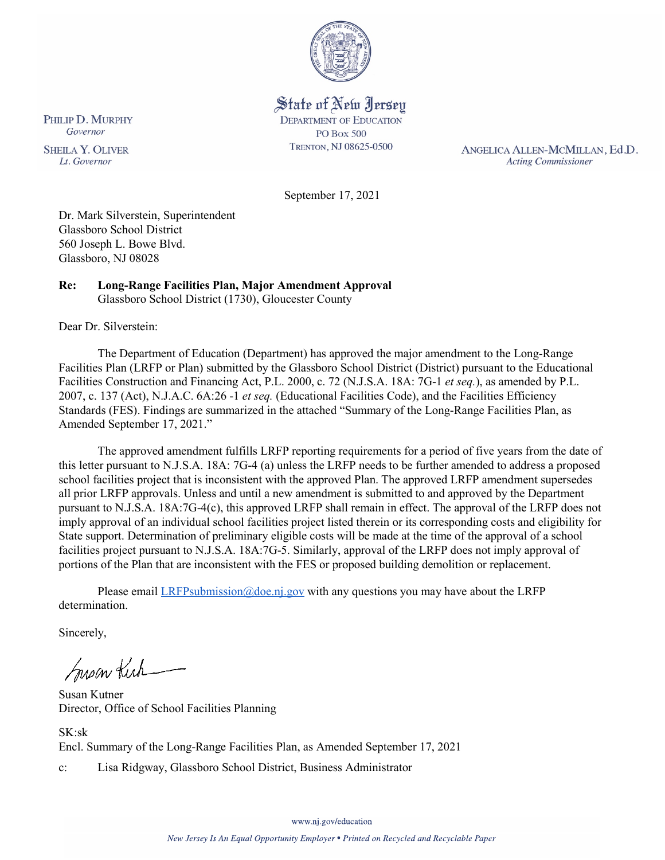

State of New Jersey **DEPARTMENT OF EDUCATION PO Box 500** TRENTON, NJ 08625-0500

ANGELICA ALLEN-MCMILLAN, Ed.D. **Acting Commissioner** 

September 17, 2021

Dr. Mark Silverstein, Superintendent Glassboro School District 560 Joseph L. Bowe Blvd. Glassboro, NJ 08028

**Re: Long-Range Facilities Plan, Major Amendment Approval**  Glassboro School District (1730), Gloucester County

Dear Dr. Silverstein:

The Department of Education (Department) has approved the major amendment to the Long-Range Facilities Plan (LRFP or Plan) submitted by the Glassboro School District (District) pursuant to the Educational Facilities Construction and Financing Act, P.L. 2000, c. 72 (N.J.S.A. 18A: 7G-1 *et seq.*), as amended by P.L. 2007, c. 137 (Act), N.J.A.C. 6A:26 -1 *et seq.* (Educational Facilities Code), and the Facilities Efficiency Standards (FES). Findings are summarized in the attached "Summary of the Long-Range Facilities Plan, as Amended September 17, 2021."

The approved amendment fulfills LRFP reporting requirements for a period of five years from the date of this letter pursuant to N.J.S.A. 18A: 7G-4 (a) unless the LRFP needs to be further amended to address a proposed school facilities project that is inconsistent with the approved Plan. The approved LRFP amendment supersedes all prior LRFP approvals. Unless and until a new amendment is submitted to and approved by the Department pursuant to N.J.S.A. 18A:7G-4(c), this approved LRFP shall remain in effect. The approval of the LRFP does not imply approval of an individual school facilities project listed therein or its corresponding costs and eligibility for State support. Determination of preliminary eligible costs will be made at the time of the approval of a school facilities project pursuant to N.J.S.A. 18A:7G-5. Similarly, approval of the LRFP does not imply approval of portions of the Plan that are inconsistent with the FES or proposed building demolition or replacement.

Please email  $LRFP submission@doe.nj.gov$  with any questions you may have about the LRFP determination.

Sincerely,

Susan Kich

Susan Kutner Director, Office of School Facilities Planning

SK:sk Encl. Summary of the Long-Range Facilities Plan, as Amended September 17, 2021 c: Lisa Ridgway, Glassboro School District, Business Administrator

www.nj.gov/education

PHILIP D. MURPHY Governor

**SHEILA Y. OLIVER** Lt. Governor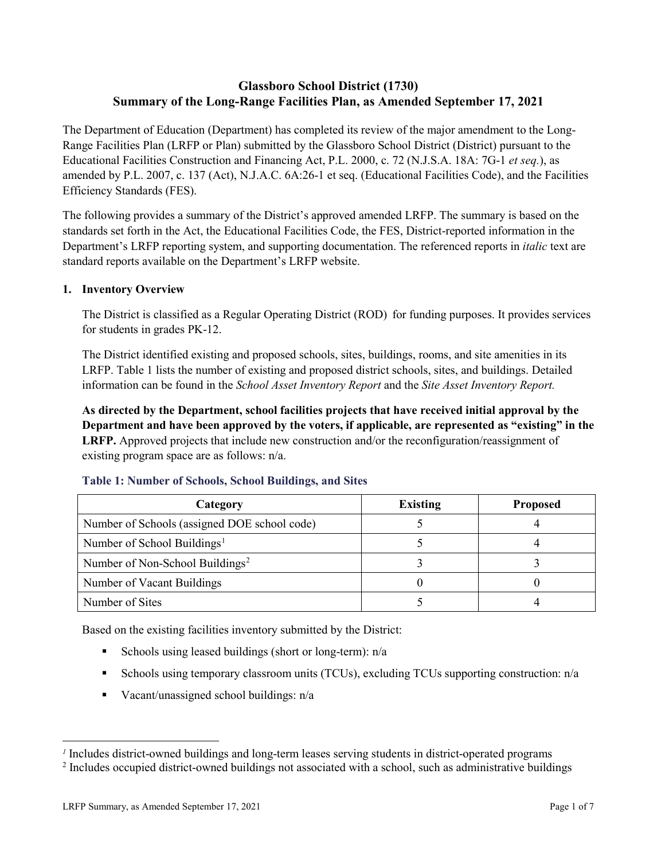# **Glassboro School District (1730) Summary of the Long-Range Facilities Plan, as Amended September 17, 2021**

The Department of Education (Department) has completed its review of the major amendment to the Long-Range Facilities Plan (LRFP or Plan) submitted by the Glassboro School District (District) pursuant to the Educational Facilities Construction and Financing Act, P.L. 2000, c. 72 (N.J.S.A. 18A: 7G-1 *et seq.*), as amended by P.L. 2007, c. 137 (Act), N.J.A.C. 6A:26-1 et seq. (Educational Facilities Code), and the Facilities Efficiency Standards (FES).

The following provides a summary of the District's approved amended LRFP. The summary is based on the standards set forth in the Act, the Educational Facilities Code, the FES, District-reported information in the Department's LRFP reporting system, and supporting documentation. The referenced reports in *italic* text are standard reports available on the Department's LRFP website.

# **1. Inventory Overview**

The District is classified as a Regular Operating District (ROD) for funding purposes. It provides services for students in grades PK-12.

The District identified existing and proposed schools, sites, buildings, rooms, and site amenities in its LRFP. Table 1 lists the number of existing and proposed district schools, sites, and buildings. Detailed information can be found in the *School Asset Inventory Report* and the *Site Asset Inventory Report.*

**As directed by the Department, school facilities projects that have received initial approval by the Department and have been approved by the voters, if applicable, are represented as "existing" in the LRFP.** Approved projects that include new construction and/or the reconfiguration/reassignment of existing program space are as follows: n/a.

| Category                                     | <b>Existing</b> | <b>Proposed</b> |
|----------------------------------------------|-----------------|-----------------|
| Number of Schools (assigned DOE school code) |                 |                 |
| Number of School Buildings <sup>1</sup>      |                 |                 |
| Number of Non-School Buildings <sup>2</sup>  |                 |                 |
| Number of Vacant Buildings                   |                 |                 |
| Number of Sites                              |                 |                 |

### **Table 1: Number of Schools, School Buildings, and Sites**

Based on the existing facilities inventory submitted by the District:

- Schools using leased buildings (short or long-term):  $n/a$
- Schools using temporary classroom units (TCUs), excluding TCUs supporting construction: n/a
- Vacant/unassigned school buildings:  $n/a$

 $\overline{a}$ 

*<sup>1</sup>* Includes district-owned buildings and long-term leases serving students in district-operated programs

<sup>&</sup>lt;sup>2</sup> Includes occupied district-owned buildings not associated with a school, such as administrative buildings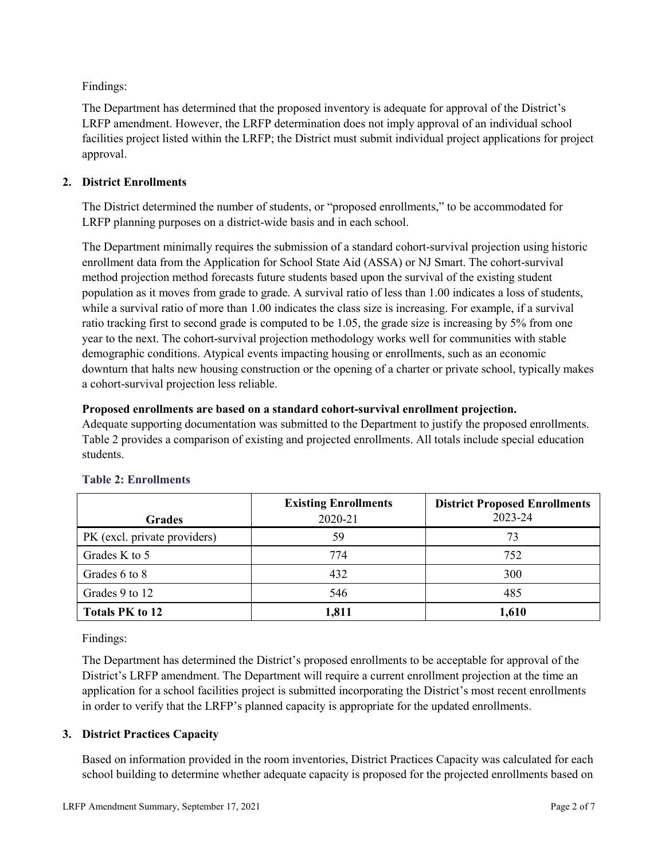Findings:

The Department has determined that the proposed inventory is adequate for approval of the District's LRFP amendment. However, the LRFP determination does not imply approval of an individual school facilities project listed within the LRFP; the District must submit individual project applications for project approval.

# **2. District Enrollments**

The District determined the number of students, or "proposed enrollments," to be accommodated for LRFP planning purposes on a district-wide basis and in each school.

The Department minimally requires the submission of a standard cohort-survival projection using historic enrollment data from the Application for School State Aid (ASSA) or NJ Smart. The cohort-survival method projection method forecasts future students based upon the survival of the existing student population as it moves from grade to grade. A survival ratio of less than 1.00 indicates a loss of students, while a survival ratio of more than 1.00 indicates the class size is increasing. For example, if a survival ratio tracking first to second grade is computed to be 1.05, the grade size is increasing by 5% from one year to the next. The cohort-survival projection methodology works well for communities with stable demographic conditions. Atypical events impacting housing or enrollments, such as an economic downturn that halts new housing construction or the opening of a charter or private school, typically makes a cohort-survival projection less reliable.

# **Proposed enrollments are based on a standard cohort-survival enrollment projection.**

Adequate supporting documentation was submitted to the Department to justify the proposed enrollments. Table 2 provides a comparison of existing and projected enrollments. All totals include special education students.

|                              | <b>Existing Enrollments</b> | <b>District Proposed Enrollments</b> |
|------------------------------|-----------------------------|--------------------------------------|
| <b>Grades</b>                | 2020-21                     | 2023-24                              |
| PK (excl. private providers) | 59                          | 73                                   |
| Grades K to 5                | 774                         | 752                                  |
| Grades 6 to 8                | 432                         | 300                                  |
| Grades 9 to 12               | 546                         | 485                                  |
| <b>Totals PK to 12</b>       | 1,811                       | 1,610                                |

# **Table 2: Enrollments**

Findings:

The Department has determined the District's proposed enrollments to be acceptable for approval of the District's LRFP amendment. The Department will require a current enrollment projection at the time an application for a school facilities project is submitted incorporating the District's most recent enrollments in order to verify that the LRFP's planned capacity is appropriate for the updated enrollments.

# **3. District Practices Capacity**

Based on information provided in the room inventories, District Practices Capacity was calculated for each school building to determine whether adequate capacity is proposed for the projected enrollments based on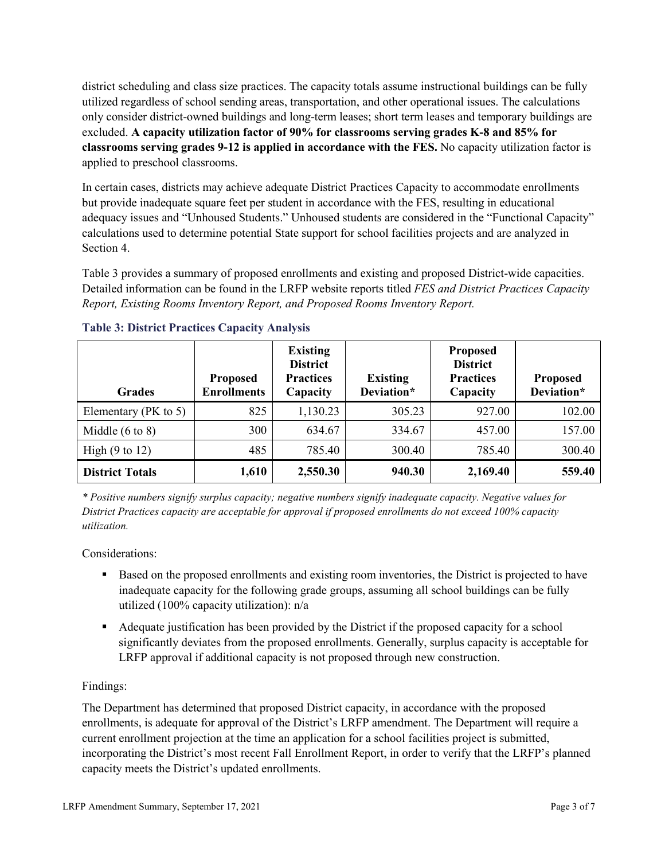district scheduling and class size practices. The capacity totals assume instructional buildings can be fully utilized regardless of school sending areas, transportation, and other operational issues. The calculations only consider district-owned buildings and long-term leases; short term leases and temporary buildings are excluded. **A capacity utilization factor of 90% for classrooms serving grades K-8 and 85% for classrooms serving grades 9-12 is applied in accordance with the FES.** No capacity utilization factor is applied to preschool classrooms.

In certain cases, districts may achieve adequate District Practices Capacity to accommodate enrollments but provide inadequate square feet per student in accordance with the FES, resulting in educational adequacy issues and "Unhoused Students." Unhoused students are considered in the "Functional Capacity" calculations used to determine potential State support for school facilities projects and are analyzed in Section 4.

Table 3 provides a summary of proposed enrollments and existing and proposed District-wide capacities. Detailed information can be found in the LRFP website reports titled *FES and District Practices Capacity Report, Existing Rooms Inventory Report, and Proposed Rooms Inventory Report.*

| <b>Grades</b>              | <b>Proposed</b><br><b>Enrollments</b> | <b>Existing</b><br><b>District</b><br><b>Practices</b><br>Capacity | <b>Existing</b><br>Deviation* | <b>Proposed</b><br><b>District</b><br><b>Practices</b><br>Capacity | <b>Proposed</b><br>Deviation* |
|----------------------------|---------------------------------------|--------------------------------------------------------------------|-------------------------------|--------------------------------------------------------------------|-------------------------------|
| Elementary (PK to 5)       | 825                                   | 1,130.23                                                           | 305.23                        | 927.00                                                             | 102.00                        |
| Middle $(6 \text{ to } 8)$ | 300                                   | 634.67                                                             | 334.67                        | 457.00                                                             | 157.00                        |
| High $(9 \text{ to } 12)$  | 485                                   | 785.40                                                             | 300.40                        | 785.40                                                             | 300.40                        |
| <b>District Totals</b>     | 1,610                                 | 2,550.30                                                           | 940.30                        | 2,169.40                                                           | 559.40                        |

# **Table 3: District Practices Capacity Analysis**

*\* Positive numbers signify surplus capacity; negative numbers signify inadequate capacity. Negative values for District Practices capacity are acceptable for approval if proposed enrollments do not exceed 100% capacity utilization.*

Considerations:

- Based on the proposed enrollments and existing room inventories, the District is projected to have inadequate capacity for the following grade groups, assuming all school buildings can be fully utilized (100% capacity utilization): n/a
- Adequate justification has been provided by the District if the proposed capacity for a school significantly deviates from the proposed enrollments. Generally, surplus capacity is acceptable for LRFP approval if additional capacity is not proposed through new construction.

# Findings:

The Department has determined that proposed District capacity, in accordance with the proposed enrollments, is adequate for approval of the District's LRFP amendment. The Department will require a current enrollment projection at the time an application for a school facilities project is submitted, incorporating the District's most recent Fall Enrollment Report, in order to verify that the LRFP's planned capacity meets the District's updated enrollments.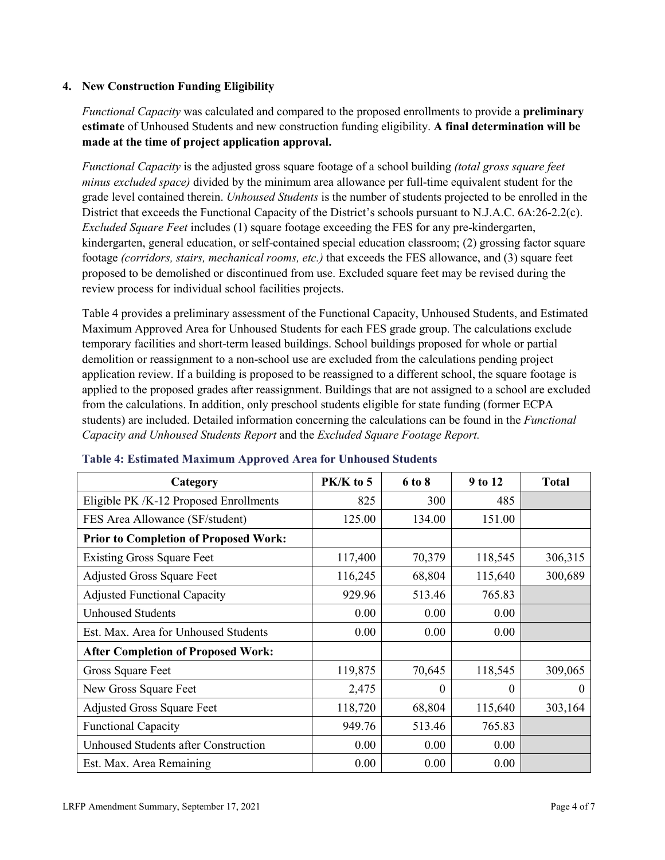### **4. New Construction Funding Eligibility**

*Functional Capacity* was calculated and compared to the proposed enrollments to provide a **preliminary estimate** of Unhoused Students and new construction funding eligibility. **A final determination will be made at the time of project application approval.**

*Functional Capacity* is the adjusted gross square footage of a school building *(total gross square feet minus excluded space)* divided by the minimum area allowance per full-time equivalent student for the grade level contained therein. *Unhoused Students* is the number of students projected to be enrolled in the District that exceeds the Functional Capacity of the District's schools pursuant to N.J.A.C. 6A:26-2.2(c). *Excluded Square Feet* includes (1) square footage exceeding the FES for any pre-kindergarten, kindergarten, general education, or self-contained special education classroom; (2) grossing factor square footage *(corridors, stairs, mechanical rooms, etc.)* that exceeds the FES allowance, and (3) square feet proposed to be demolished or discontinued from use. Excluded square feet may be revised during the review process for individual school facilities projects.

Table 4 provides a preliminary assessment of the Functional Capacity, Unhoused Students, and Estimated Maximum Approved Area for Unhoused Students for each FES grade group. The calculations exclude temporary facilities and short-term leased buildings. School buildings proposed for whole or partial demolition or reassignment to a non-school use are excluded from the calculations pending project application review. If a building is proposed to be reassigned to a different school, the square footage is applied to the proposed grades after reassignment. Buildings that are not assigned to a school are excluded from the calculations. In addition, only preschool students eligible for state funding (former ECPA students) are included. Detailed information concerning the calculations can be found in the *Functional Capacity and Unhoused Students Report* and the *Excluded Square Footage Report.*

| Category                                     | PK/K to 5 | 6 to 8 | 9 to 12 | <b>Total</b> |
|----------------------------------------------|-----------|--------|---------|--------------|
| Eligible PK /K-12 Proposed Enrollments       | 825       | 300    | 485     |              |
| FES Area Allowance (SF/student)              | 125.00    | 134.00 | 151.00  |              |
| <b>Prior to Completion of Proposed Work:</b> |           |        |         |              |
| <b>Existing Gross Square Feet</b>            | 117,400   | 70,379 | 118,545 | 306,315      |
| <b>Adjusted Gross Square Feet</b>            | 116,245   | 68,804 | 115,640 | 300,689      |
| <b>Adjusted Functional Capacity</b>          | 929.96    | 513.46 | 765.83  |              |
| <b>Unhoused Students</b>                     | 0.00      | 0.00   | 0.00    |              |
| Est. Max. Area for Unhoused Students         | 0.00      | 0.00   | 0.00    |              |
| <b>After Completion of Proposed Work:</b>    |           |        |         |              |
| Gross Square Feet                            | 119,875   | 70,645 | 118,545 | 309,065      |
| New Gross Square Feet                        | 2,475     | 0      | 0       | $\Omega$     |
| <b>Adjusted Gross Square Feet</b>            | 118,720   | 68,804 | 115,640 | 303,164      |
| <b>Functional Capacity</b>                   | 949.76    | 513.46 | 765.83  |              |
| Unhoused Students after Construction         | 0.00      | 0.00   | 0.00    |              |
| Est. Max. Area Remaining                     | 0.00      | 0.00   | 0.00    |              |

### **Table 4: Estimated Maximum Approved Area for Unhoused Students**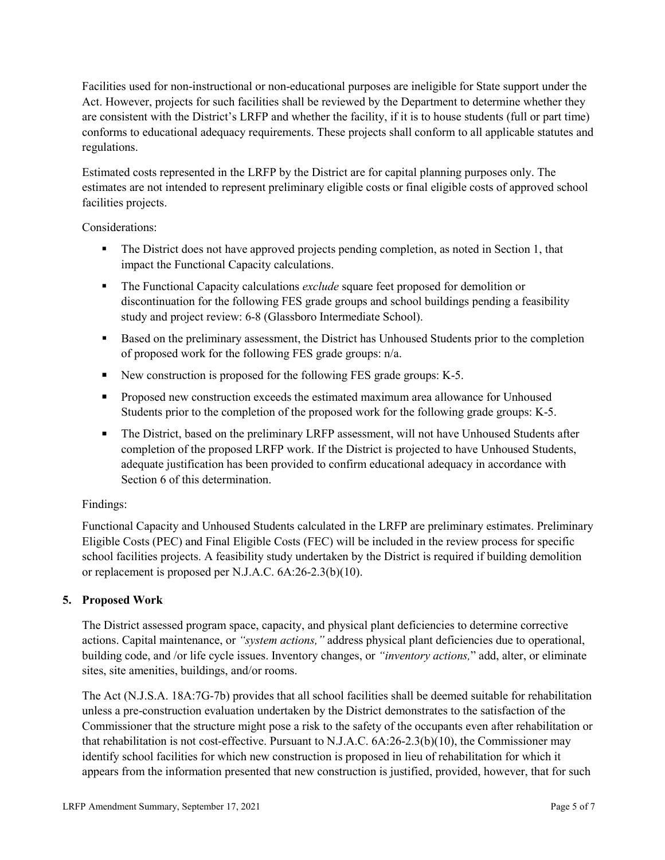Facilities used for non-instructional or non-educational purposes are ineligible for State support under the Act. However, projects for such facilities shall be reviewed by the Department to determine whether they are consistent with the District's LRFP and whether the facility, if it is to house students (full or part time) conforms to educational adequacy requirements. These projects shall conform to all applicable statutes and regulations.

Estimated costs represented in the LRFP by the District are for capital planning purposes only. The estimates are not intended to represent preliminary eligible costs or final eligible costs of approved school facilities projects.

Considerations:

- The District does not have approved projects pending completion, as noted in Section 1, that impact the Functional Capacity calculations.
- **The Functional Capacity calculations** *exclude* square feet proposed for demolition or discontinuation for the following FES grade groups and school buildings pending a feasibility study and project review: 6-8 (Glassboro Intermediate School).
- Based on the preliminary assessment, the District has Unhoused Students prior to the completion of proposed work for the following FES grade groups: n/a.
- New construction is proposed for the following FES grade groups: K-5.
- Proposed new construction exceeds the estimated maximum area allowance for Unhoused Students prior to the completion of the proposed work for the following grade groups: K-5.
- The District, based on the preliminary LRFP assessment, will not have Unhoused Students after completion of the proposed LRFP work. If the District is projected to have Unhoused Students, adequate justification has been provided to confirm educational adequacy in accordance with Section 6 of this determination.

# Findings:

Functional Capacity and Unhoused Students calculated in the LRFP are preliminary estimates. Preliminary Eligible Costs (PEC) and Final Eligible Costs (FEC) will be included in the review process for specific school facilities projects. A feasibility study undertaken by the District is required if building demolition or replacement is proposed per N.J.A.C. 6A:26-2.3(b)(10).

# **5. Proposed Work**

The District assessed program space, capacity, and physical plant deficiencies to determine corrective actions. Capital maintenance, or *"system actions,"* address physical plant deficiencies due to operational, building code, and /or life cycle issues. Inventory changes, or *"inventory actions,*" add, alter, or eliminate sites, site amenities, buildings, and/or rooms.

The Act (N.J.S.A. 18A:7G-7b) provides that all school facilities shall be deemed suitable for rehabilitation unless a pre-construction evaluation undertaken by the District demonstrates to the satisfaction of the Commissioner that the structure might pose a risk to the safety of the occupants even after rehabilitation or that rehabilitation is not cost-effective. Pursuant to N.J.A.C. 6A:26-2.3(b)(10), the Commissioner may identify school facilities for which new construction is proposed in lieu of rehabilitation for which it appears from the information presented that new construction is justified, provided, however, that for such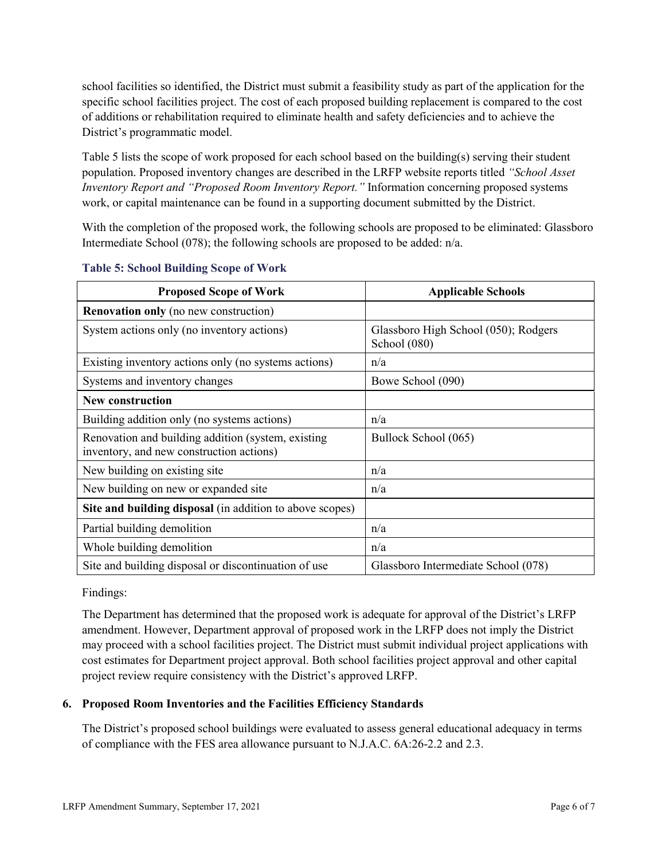school facilities so identified, the District must submit a feasibility study as part of the application for the specific school facilities project. The cost of each proposed building replacement is compared to the cost of additions or rehabilitation required to eliminate health and safety deficiencies and to achieve the District's programmatic model.

Table 5 lists the scope of work proposed for each school based on the building(s) serving their student population. Proposed inventory changes are described in the LRFP website reports titled *"School Asset Inventory Report and "Proposed Room Inventory Report."* Information concerning proposed systems work, or capital maintenance can be found in a supporting document submitted by the District.

With the completion of the proposed work, the following schools are proposed to be eliminated: Glassboro Intermediate School (078); the following schools are proposed to be added: n/a.

| <b>Proposed Scope of Work</b>                                                                  | <b>Applicable Schools</b>                            |
|------------------------------------------------------------------------------------------------|------------------------------------------------------|
| <b>Renovation only</b> (no new construction)                                                   |                                                      |
| System actions only (no inventory actions)                                                     | Glassboro High School (050); Rodgers<br>School (080) |
| Existing inventory actions only (no systems actions)                                           | n/a                                                  |
| Systems and inventory changes                                                                  | Bowe School (090)                                    |
| <b>New construction</b>                                                                        |                                                      |
| Building addition only (no systems actions)                                                    | n/a                                                  |
| Renovation and building addition (system, existing<br>inventory, and new construction actions) | Bullock School (065)                                 |
| New building on existing site                                                                  | n/a                                                  |
| New building on new or expanded site                                                           | n/a                                                  |
| Site and building disposal (in addition to above scopes)                                       |                                                      |
| Partial building demolition                                                                    | n/a                                                  |
| Whole building demolition                                                                      | n/a                                                  |
| Site and building disposal or discontinuation of use                                           | Glassboro Intermediate School (078)                  |

### **Table 5: School Building Scope of Work**

Findings:

The Department has determined that the proposed work is adequate for approval of the District's LRFP amendment. However, Department approval of proposed work in the LRFP does not imply the District may proceed with a school facilities project. The District must submit individual project applications with cost estimates for Department project approval. Both school facilities project approval and other capital project review require consistency with the District's approved LRFP.

# **6. Proposed Room Inventories and the Facilities Efficiency Standards**

The District's proposed school buildings were evaluated to assess general educational adequacy in terms of compliance with the FES area allowance pursuant to N.J.A.C. 6A:26-2.2 and 2.3.